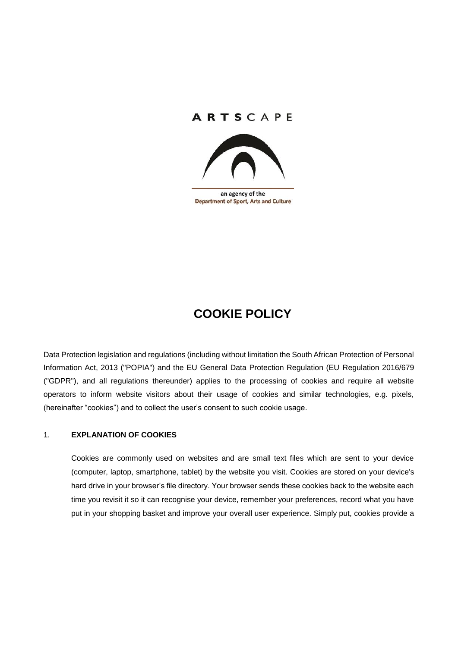# ARTSCAPE



an agency of the **Department of Sport, Arts and Culture** 

# **COOKIE POLICY**

Data Protection legislation and regulations (including without limitation the South African Protection of Personal Information Act, 2013 ("POPIA") and the EU General Data Protection Regulation (EU Regulation 2016/679 ("GDPR"), and all regulations thereunder) applies to the processing of cookies and require all website operators to inform website visitors about their usage of cookies and similar technologies, e.g. pixels, (hereinafter "cookies") and to collect the user's consent to such cookie usage.

## 1. **EXPLANATION OF COOKIES**

Cookies are commonly used on websites and are small text files which are sent to your device (computer, laptop, smartphone, tablet) by the website you visit. Cookies are stored on your device's hard drive in your browser's file directory. Your browser sends these cookies back to the website each time you revisit it so it can recognise your device, remember your preferences, record what you have put in your shopping basket and improve your overall user experience. Simply put, cookies provide a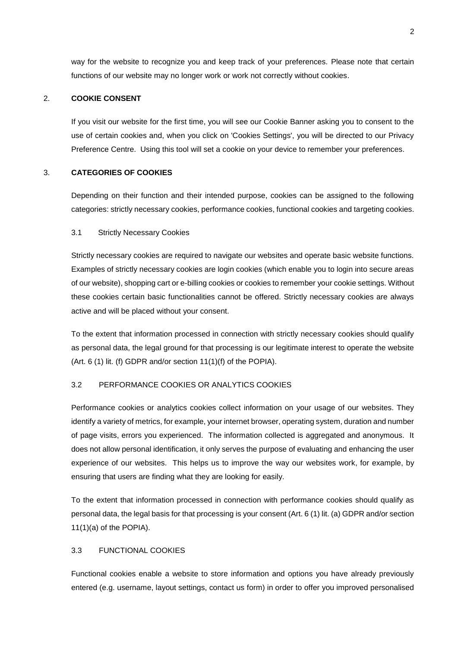way for the website to recognize you and keep track of your preferences. Please note that certain functions of our website may no longer work or work not correctly without cookies.

### 2. **COOKIE CONSENT**

If you visit our website for the first time, you will see our Cookie Banner asking you to consent to the use of certain cookies and, when you click on 'Cookies Settings', you will be directed to our Privacy Preference Centre. Using this tool will set a cookie on your device to remember your preferences.

#### 3. **CATEGORIES OF COOKIES**

Depending on their function and their intended purpose, cookies can be assigned to the following categories: strictly necessary cookies, performance cookies, functional cookies and targeting cookies.

#### 3.1 Strictly Necessary Cookies

Strictly necessary cookies are required to navigate our websites and operate basic website functions. Examples of strictly necessary cookies are login cookies (which enable you to login into secure areas of our website), shopping cart or e-billing cookies or cookies to remember your cookie settings. Without these cookies certain basic functionalities cannot be offered. Strictly necessary cookies are always active and will be placed without your consent.

To the extent that information processed in connection with strictly necessary cookies should qualify as personal data, the legal ground for that processing is our legitimate interest to operate the website (Art. 6 (1) lit. (f) GDPR and/or section 11(1)(f) of the POPIA).

#### 3.2 PERFORMANCE COOKIES OR ANALYTICS COOKIES

Performance cookies or analytics cookies collect information on your usage of our websites. They identify a variety of metrics, for example, your internet browser, operating system, duration and number of page visits, errors you experienced. The information collected is aggregated and anonymous. It does not allow personal identification, it only serves the purpose of evaluating and enhancing the user experience of our websites. This helps us to improve the way our websites work, for example, by ensuring that users are finding what they are looking for easily.

To the extent that information processed in connection with performance cookies should qualify as personal data, the legal basis for that processing is your consent (Art. 6 (1) lit. (a) GDPR and/or section 11(1)(a) of the POPIA).

#### 3.3 FUNCTIONAL COOKIES

Functional cookies enable a website to store information and options you have already previously entered (e.g. username, layout settings, contact us form) in order to offer you improved personalised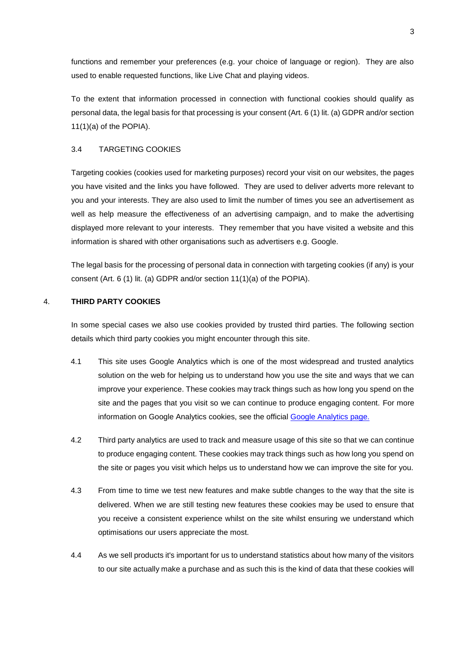functions and remember your preferences (e.g. your choice of language or region). They are also used to enable requested functions, like Live Chat and playing videos.

To the extent that information processed in connection with functional cookies should qualify as personal data, the legal basis for that processing is your consent (Art. 6 (1) lit. (a) GDPR and/or section 11(1)(a) of the POPIA).

#### 3.4 TARGETING COOKIES

Targeting cookies (cookies used for marketing purposes) record your visit on our websites, the pages you have visited and the links you have followed. They are used to deliver adverts more relevant to you and your interests. They are also used to limit the number of times you see an advertisement as well as help measure the effectiveness of an advertising campaign, and to make the advertising displayed more relevant to your interests. They remember that you have visited a website and this information is shared with other organisations such as advertisers e.g. Google.

The legal basis for the processing of personal data in connection with targeting cookies (if any) is your consent (Art. 6 (1) lit. (a) GDPR and/or section 11(1)(a) of the POPIA).

#### 4. **THIRD PARTY COOKIES**

In some special cases we also use cookies provided by trusted third parties. The following section details which third party cookies you might encounter through this site.

- 4.1 This site uses Google Analytics which is one of the most widespread and trusted analytics solution on the web for helping us to understand how you use the site and ways that we can improve your experience. These cookies may track things such as how long you spend on the site and the pages that you visit so we can continue to produce engaging content. For more information on Google Analytics cookies, see the official [Google Analytics page.](https://developers.google.com/analytics/devguides/collection/analyticsjs/cookie-usage)
- 4.2 Third party analytics are used to track and measure usage of this site so that we can continue to produce engaging content. These cookies may track things such as how long you spend on the site or pages you visit which helps us to understand how we can improve the site for you.
- 4.3 From time to time we test new features and make subtle changes to the way that the site is delivered. When we are still testing new features these cookies may be used to ensure that you receive a consistent experience whilst on the site whilst ensuring we understand which optimisations our users appreciate the most.
- 4.4 As we sell products it's important for us to understand statistics about how many of the visitors to our site actually make a purchase and as such this is the kind of data that these cookies will